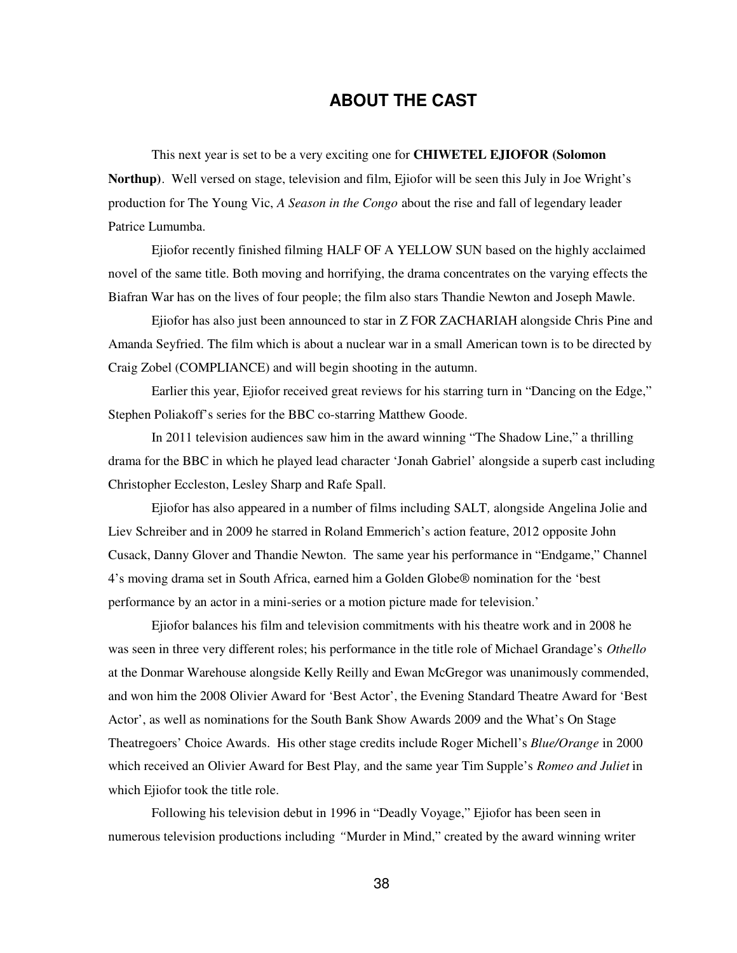## **ABOUT THE CAST**

This next year is set to be a very exciting one for **CHIWETEL EJIOFOR (Solomon Northup)**. Well versed on stage, television and film, Ejiofor will be seen this July in Joe Wright's production for The Young Vic, *A Season in the Congo* about the rise and fall of legendary leader Patrice Lumumba.

Ejiofor recently finished filming HALF OF A YELLOW SUN based on the highly acclaimed novel of the same title. Both moving and horrifying, the drama concentrates on the varying effects the Biafran War has on the lives of four people; the film also stars Thandie Newton and Joseph Mawle.

Ejiofor has also just been announced to star in Z FOR ZACHARIAH alongside Chris Pine and Amanda Seyfried. The film which is about a nuclear war in a small American town is to be directed by Craig Zobel (COMPLIANCE) and will begin shooting in the autumn.

Earlier this year, Ejiofor received great reviews for his starring turn in "Dancing on the Edge," Stephen Poliakoff's series for the BBC co-starring Matthew Goode.

In 2011 television audiences saw him in the award winning "The Shadow Line," a thrilling drama for the BBC in which he played lead character 'Jonah Gabriel' alongside a superb cast including Christopher Eccleston, Lesley Sharp and Rafe Spall.

Ejiofor has also appeared in a number of films including SALT*,* alongside Angelina Jolie and Liev Schreiber and in 2009 he starred in Roland Emmerich's action feature, 2012 opposite John Cusack, Danny Glover and Thandie Newton. The same year his performance in "Endgame," Channel 4's moving drama set in South Africa, earned him a Golden Globe® nomination for the 'best performance by an actor in a mini-series or a motion picture made for television.'

Ejiofor balances his film and television commitments with his theatre work and in 2008 he was seen in three very different roles; his performance in the title role of Michael Grandage's *Othello* at the Donmar Warehouse alongside Kelly Reilly and Ewan McGregor was unanimously commended, and won him the 2008 Olivier Award for 'Best Actor', the Evening Standard Theatre Award for 'Best Actor', as well as nominations for the South Bank Show Awards 2009 and the What's On Stage Theatregoers' Choice Awards.His other stage credits include Roger Michell's *Blue/Orange* in 2000 which received an Olivier Award for Best Play*,* and the same year Tim Supple's *Romeo and Juliet* in which Ejiofor took the title role.

Following his television debut in 1996 in "Deadly Voyage," Ejiofor has been seen in numerous television productions including *"*Murder in Mind," created by the award winning writer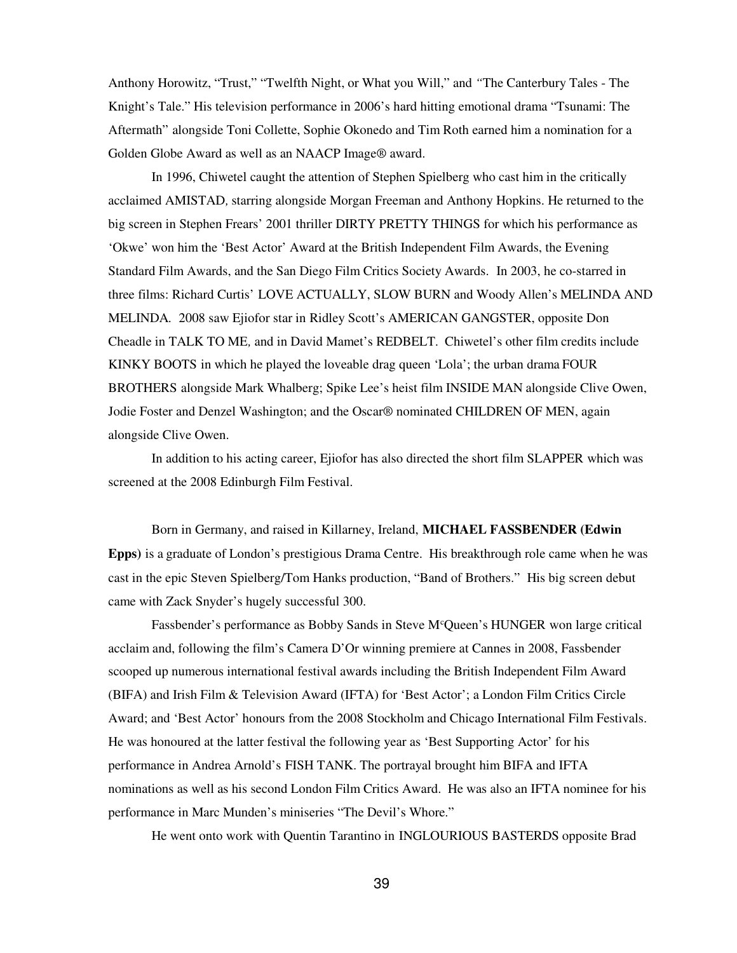Anthony Horowitz, "Trust," "Twelfth Night, or What you Will," and *"*The Canterbury Tales - The Knight's Tale." His television performance in 2006's hard hitting emotional drama "Tsunami: The Aftermath" alongside Toni Collette, Sophie Okonedo and Tim Roth earned him a nomination for a Golden Globe Award as well as an NAACP Image® award.

In 1996, Chiwetel caught the attention of Stephen Spielberg who cast him in the critically acclaimed AMISTAD*,* starring alongside Morgan Freeman and Anthony Hopkins. He returned to the big screen in Stephen Frears' 2001 thriller DIRTY PRETTY THINGS for which his performance as 'Okwe' won him the 'Best Actor' Award at the British Independent Film Awards, the Evening Standard Film Awards, and the San Diego Film Critics Society Awards. In 2003, he co-starred in three films: Richard Curtis' LOVE ACTUALLY, SLOW BURN and Woody Allen's MELINDA AND MELINDA*.* 2008 saw Ejiofor star in Ridley Scott's AMERICAN GANGSTER, opposite Don Cheadle in TALK TO ME*,* and in David Mamet's REDBELT. Chiwetel's other film credits include KINKY BOOTS in which he played the loveable drag queen 'Lola'; the urban drama FOUR BROTHERS alongside Mark Whalberg; Spike Lee's heist film INSIDE MAN alongside Clive Owen, Jodie Foster and Denzel Washington; and the Oscar® nominated CHILDREN OF MEN, again alongside Clive Owen.

In addition to his acting career, Ejiofor has also directed the short film SLAPPER which was screened at the 2008 Edinburgh Film Festival.

Born in Germany, and raised in Killarney, Ireland, **MICHAEL FASSBENDER (Edwin Epps)** is a graduate of London's prestigious Drama Centre. His breakthrough role came when he was cast in the epic Steven Spielberg/Tom Hanks production, "Band of Brothers."His big screen debut came with Zack Snyder's hugely successful 300.

Fassbender's performance as Bobby Sands in Steve M<sup>c</sup>Queen's HUNGER won large critical acclaim and, following the film's Camera D'Or winning premiere at Cannes in 2008, Fassbender scooped up numerous international festival awards including the British Independent Film Award (BIFA) and Irish Film & Television Award (IFTA) for 'Best Actor'; a London Film Critics Circle Award; and 'Best Actor' honours from the 2008 Stockholm and Chicago International Film Festivals. He was honoured at the latter festival the following year as 'Best Supporting Actor' for his performance in Andrea Arnold's FISH TANK. The portrayal brought him BIFA and IFTA nominations as well as his second London Film Critics Award. He was also an IFTA nominee for his performance in Marc Munden's miniseries "The Devil's Whore."

He went onto work with Quentin Tarantino in INGLOURIOUS BASTERDS opposite Brad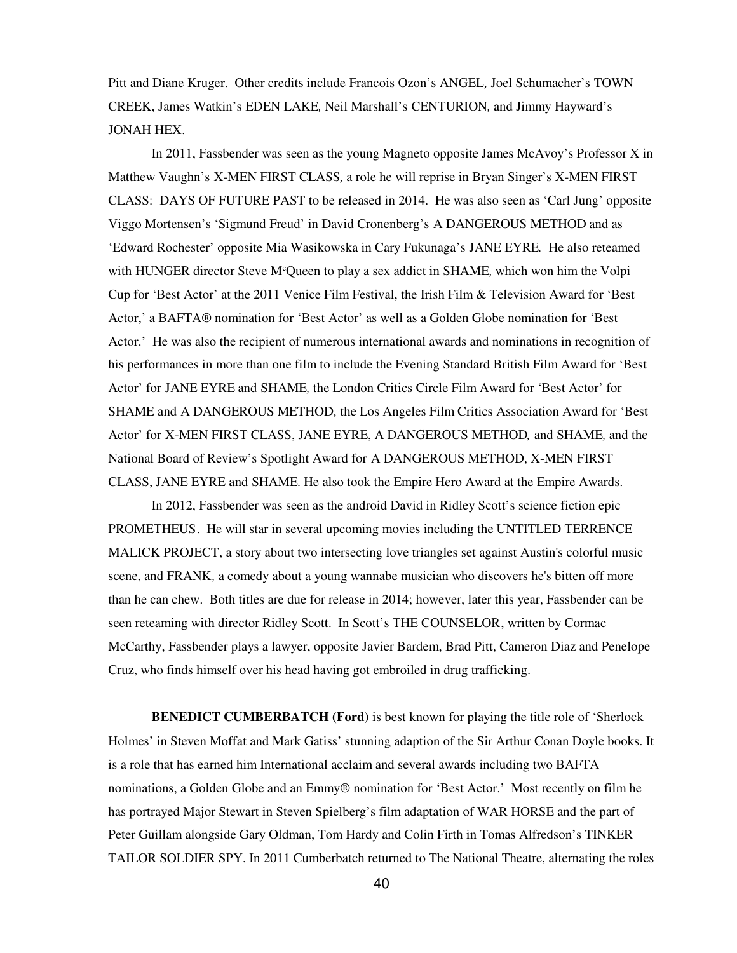Pitt and Diane Kruger. Other credits include Francois Ozon's ANGEL*,* Joel Schumacher's TOWN CREEK, James Watkin's EDEN LAKE*,* Neil Marshall's CENTURION*,* and Jimmy Hayward's JONAH HEX*.*

In 2011, Fassbender was seen as the young Magneto opposite James McAvoy's Professor X in Matthew Vaughn's X-MEN FIRST CLASS*,* a role he will reprise in Bryan Singer's X-MEN FIRST CLASS: DAYS OF FUTURE PAST to be released in 2014. He was also seen as 'Carl Jung' opposite Viggo Mortensen's 'Sigmund Freud' in David Cronenberg's A DANGEROUS METHOD and as 'Edward Rochester' opposite Mia Wasikowska in Cary Fukunaga's JANE EYRE*.* He also reteamed with HUNGER director Steve M<sup>c</sup>Queen to play a sex addict in SHAME*,* which won him the Volpi Cup for 'Best Actor' at the 2011 Venice Film Festival, the Irish Film & Television Award for 'Best Actor,' a BAFTA® nomination for 'Best Actor' as well as a Golden Globe nomination for 'Best Actor.' He was also the recipient of numerous international awards and nominations in recognition of his performances in more than one film to include the Evening Standard British Film Award for 'Best Actor' for JANE EYRE and SHAME*,* the London Critics Circle Film Award for 'Best Actor' for SHAME and A DANGEROUS METHOD*,* the Los Angeles Film Critics Association Award for 'Best Actor' for X-MEN FIRST CLASS, JANE EYRE, A DANGEROUS METHOD*,* and SHAME*,* and the National Board of Review's Spotlight Award for A DANGEROUS METHOD, X-MEN FIRST CLASS, JANE EYRE and SHAME*.* He also took the Empire Hero Award at the Empire Awards.

In 2012, Fassbender was seen as the android David in Ridley Scott's science fiction epic PROMETHEUS. He will star in several upcoming movies including the UNTITLED TERRENCE MALICK PROJECT, a story about two intersecting love triangles set against Austin's colorful music scene, and FRANK*,* a comedy about a young wannabe musician who discovers he's bitten off more than he can chew. Both titles are due for release in 2014; however, later this year, Fassbender can be seen reteaming with director Ridley Scott. In Scott's THE COUNSELOR, written by Cormac McCarthy, Fassbender plays a lawyer, opposite Javier Bardem, Brad Pitt, Cameron Diaz and Penelope Cruz, who finds himself over his head having got embroiled in drug trafficking.

**BENEDICT CUMBERBATCH (Ford)** is best known for playing the title role of 'Sherlock Holmes' in Steven Moffat and Mark Gatiss' stunning adaption of the Sir Arthur Conan Doyle books. It is a role that has earned him International acclaim and several awards including two BAFTA nominations, a Golden Globe and an Emmy® nomination for 'Best Actor.' Most recently on film he has portrayed Major Stewart in Steven Spielberg's film adaptation of WAR HORSE and the part of Peter Guillam alongside Gary Oldman, Tom Hardy and Colin Firth in Tomas Alfredson's TINKER TAILOR SOLDIER SPY. In 2011 Cumberbatch returned to The National Theatre, alternating the roles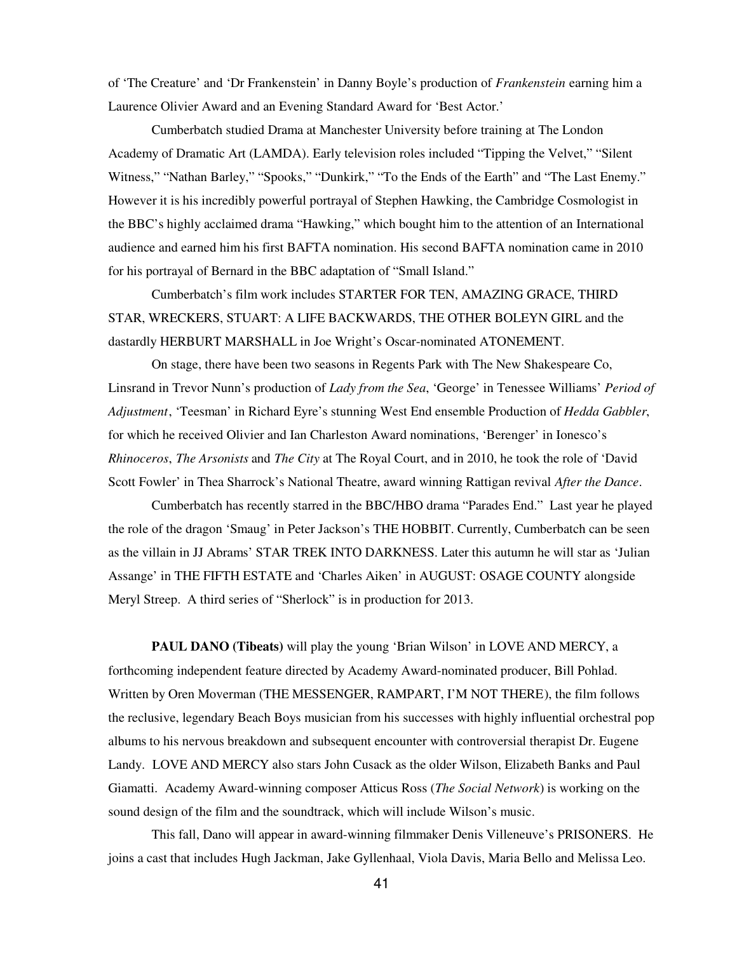of 'The Creature' and 'Dr Frankenstein' in Danny Boyle's production of *Frankenstein* earning him a Laurence Olivier Award and an Evening Standard Award for 'Best Actor.'

Cumberbatch studied Drama at Manchester University before training at The London Academy of Dramatic Art (LAMDA). Early television roles included "Tipping the Velvet," "Silent Witness," "Nathan Barley," "Spooks," "Dunkirk," "To the Ends of the Earth" and "The Last Enemy." However it is his incredibly powerful portrayal of Stephen Hawking, the Cambridge Cosmologist in the BBC's highly acclaimed drama "Hawking," which bought him to the attention of an International audience and earned him his first BAFTA nomination. His second BAFTA nomination came in 2010 for his portrayal of Bernard in the BBC adaptation of "Small Island."

Cumberbatch's film work includes STARTER FOR TEN, AMAZING GRACE, THIRD STAR, WRECKERS, STUART: A LIFE BACKWARDS, THE OTHER BOLEYN GIRL and the dastardly HERBURT MARSHALL in Joe Wright's Oscar-nominated ATONEMENT.

On stage, there have been two seasons in Regents Park with The New Shakespeare Co, Linsrand in Trevor Nunn's production of *Lady from the Sea*, 'George' in Tenessee Williams' *Period of Adjustment*, 'Teesman' in Richard Eyre's stunning West End ensemble Production of *Hedda Gabbler*, for which he received Olivier and Ian Charleston Award nominations, 'Berenger' in Ionesco's *Rhinoceros*, *The Arsonists* and *The City* at The Royal Court, and in 2010, he took the role of 'David Scott Fowler' in Thea Sharrock's National Theatre, award winning Rattigan revival *After the Dance*.

Cumberbatch has recently starred in the BBC/HBO drama "Parades End." Last year he played the role of the dragon 'Smaug' in Peter Jackson's THE HOBBIT. Currently, Cumberbatch can be seen as the villain in JJ Abrams' STAR TREK INTO DARKNESS. Later this autumn he will star as 'Julian Assange' in THE FIFTH ESTATE and 'Charles Aiken' in AUGUST: OSAGE COUNTY alongside Meryl Streep. A third series of "Sherlock" is in production for 2013.

**PAUL DANO (Tibeats)** will play the young 'Brian Wilson' in LOVE AND MERCY, a forthcoming independent feature directed by Academy Award-nominated producer, Bill Pohlad. Written by Oren Moverman (THE MESSENGER, RAMPART, I'M NOT THERE), the film follows the reclusive, legendary Beach Boys musician from his successes with highly influential orchestral pop albums to his nervous breakdown and subsequent encounter with controversial therapist Dr. Eugene Landy. LOVE AND MERCY also stars John Cusack as the older Wilson, Elizabeth Banks and Paul Giamatti. Academy Award-winning composer Atticus Ross (*The Social Network*) is working on the sound design of the film and the soundtrack, which will include Wilson's music.

This fall, Dano will appear in award-winning filmmaker Denis Villeneuve's PRISONERS. He joins a cast that includes Hugh Jackman, Jake Gyllenhaal, Viola Davis, Maria Bello and Melissa Leo.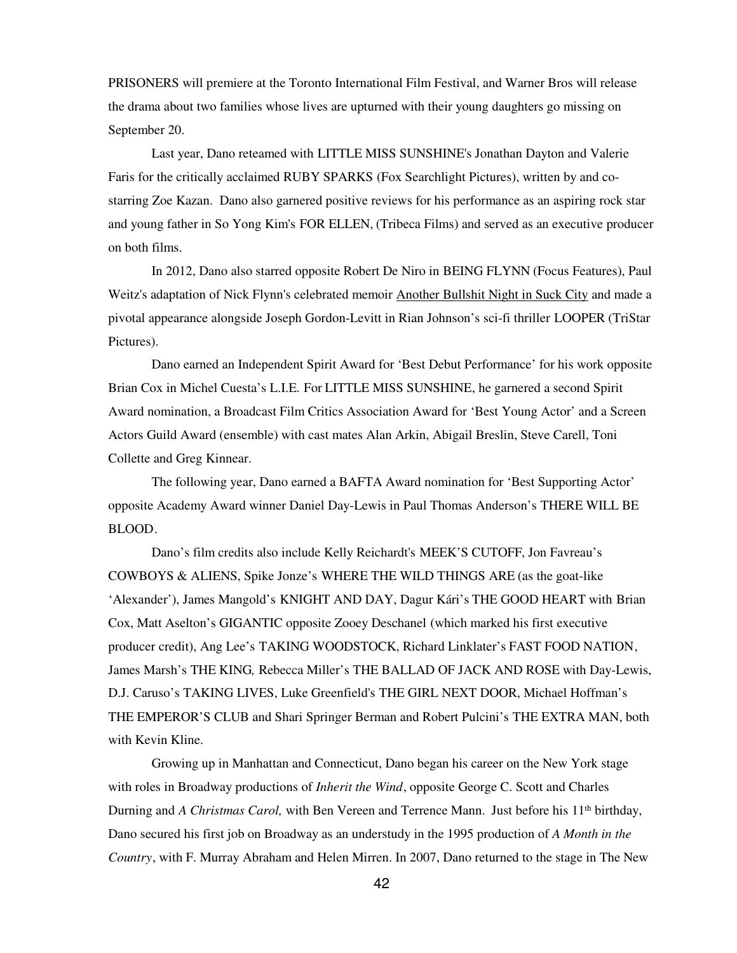PRISONERS will premiere at the Toronto International Film Festival, and Warner Bros will release the drama about two families whose lives are upturned with their young daughters go missing on September 20.

Last year, Dano reteamed with LITTLE MISS SUNSHINE's Jonathan Dayton and Valerie Faris for the critically acclaimed RUBY SPARKS (Fox Searchlight Pictures), written by and costarring Zoe Kazan. Dano also garnered positive reviews for his performance as an aspiring rock star and young father in So Yong Kim's FOR ELLEN, (Tribeca Films) and served as an executive producer on both films.

In 2012, Dano also starred opposite Robert De Niro in BEING FLYNN (Focus Features), Paul Weitz's adaptation of Nick Flynn's celebrated memoir Another Bullshit Night in Suck City and made a pivotal appearance alongside Joseph Gordon-Levitt in Rian Johnson's sci-fi thriller LOOPER (TriStar Pictures).

Dano earned an Independent Spirit Award for 'Best Debut Performance' for his work opposite Brian Cox in Michel Cuesta's L.I.E*.* For LITTLE MISS SUNSHINE, he garnered a second Spirit Award nomination, a Broadcast Film Critics Association Award for 'Best Young Actor' and a Screen Actors Guild Award (ensemble) with cast mates Alan Arkin, Abigail Breslin, Steve Carell, Toni Collette and Greg Kinnear.

The following year, Dano earned a BAFTA Award nomination for 'Best Supporting Actor' opposite Academy Award winner Daniel Day-Lewis in Paul Thomas Anderson's THERE WILL BE BLOOD.

Dano's film credits also include Kelly Reichardt's MEEK'S CUTOFF, Jon Favreau's COWBOYS & ALIENS, Spike Jonze's WHERE THE WILD THINGS ARE (as the goat-like 'Alexander'), James Mangold's KNIGHT AND DAY, Dagur Kári's THE GOOD HEART with Brian Cox, Matt Aselton's GIGANTIC opposite Zooey Deschanel (which marked his first executive producer credit), Ang Lee's TAKING WOODSTOCK, Richard Linklater's FAST FOOD NATION, James Marsh's THE KING*,* Rebecca Miller's THE BALLAD OF JACK AND ROSE with Day-Lewis, D.J. Caruso's TAKING LIVES, Luke Greenfield's THE GIRL NEXT DOOR, Michael Hoffman's THE EMPEROR'S CLUB and Shari Springer Berman and Robert Pulcini's THE EXTRA MAN, both with Kevin Kline.

Growing up in Manhattan and Connecticut, Dano began his career on the New York stage with roles in Broadway productions of *Inherit the Wind*, opposite George C. Scott and Charles Durning and *A Christmas Carol*, with Ben Vereen and Terrence Mann. Just before his 11<sup>th</sup> birthday, Dano secured his first job on Broadway as an understudy in the 1995 production of *A Month in the Country*, with F. Murray Abraham and Helen Mirren. In 2007, Dano returned to the stage in The New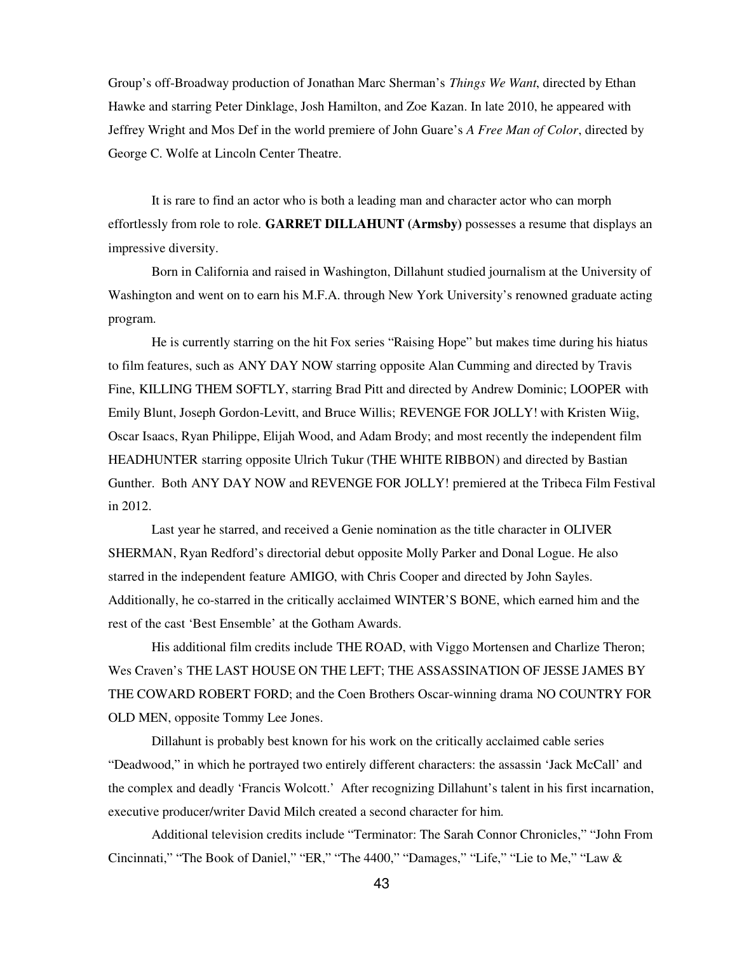Group's off-Broadway production of Jonathan Marc Sherman's *Things We Want*, directed by Ethan Hawke and starring Peter Dinklage, Josh Hamilton, and Zoe Kazan. In late 2010, he appeared with Jeffrey Wright and Mos Def in the world premiere of John Guare's *A Free Man of Color*, directed by George C. Wolfe at Lincoln Center Theatre.

It is rare to find an actor who is both a leading man and character actor who can morph effortlessly from role to role. **GARRET DILLAHUNT (Armsby)** possesses a resume that displays an impressive diversity.

Born in California and raised in Washington, Dillahunt studied journalism at the University of Washington and went on to earn his M.F.A. through New York University's renowned graduate acting program.

He is currently starring on the hit Fox series "Raising Hope" but makes time during his hiatus to film features, such as ANY DAY NOW starring opposite Alan Cumming and directed by Travis Fine, KILLING THEM SOFTLY, starring Brad Pitt and directed by Andrew Dominic; LOOPER with Emily Blunt, Joseph Gordon-Levitt, and Bruce Willis; REVENGE FOR JOLLY! with Kristen Wiig, Oscar Isaacs, Ryan Philippe, Elijah Wood, and Adam Brody; and most recently the independent film HEADHUNTER starring opposite Ulrich Tukur (THE WHITE RIBBON) and directed by Bastian Gunther. Both ANY DAY NOW and REVENGE FOR JOLLY! premiered at the Tribeca Film Festival in 2012.

Last year he starred, and received a Genie nomination as the title character in OLIVER SHERMAN, Ryan Redford's directorial debut opposite Molly Parker and Donal Logue. He also starred in the independent feature AMIGO, with Chris Cooper and directed by John Sayles. Additionally, he co-starred in the critically acclaimed WINTER'S BONE, which earned him and the rest of the cast 'Best Ensemble' at the Gotham Awards.

His additional film credits include THE ROAD, with Viggo Mortensen and Charlize Theron; Wes Craven's THE LAST HOUSE ON THE LEFT; THE ASSASSINATION OF JESSE JAMES BY THE COWARD ROBERT FORD; and the Coen Brothers Oscar-winning drama NO COUNTRY FOR OLD MEN, opposite Tommy Lee Jones.

Dillahunt is probably best known for his work on the critically acclaimed cable series "Deadwood," in which he portrayed two entirely different characters: the assassin 'Jack McCall' and the complex and deadly 'Francis Wolcott.' After recognizing Dillahunt's talent in his first incarnation, executive producer/writer David Milch created a second character for him.

Additional television credits include "Terminator: The Sarah Connor Chronicles," "John From Cincinnati," "The Book of Daniel," "ER," "The 4400," "Damages," "Life," "Lie to Me," "Law &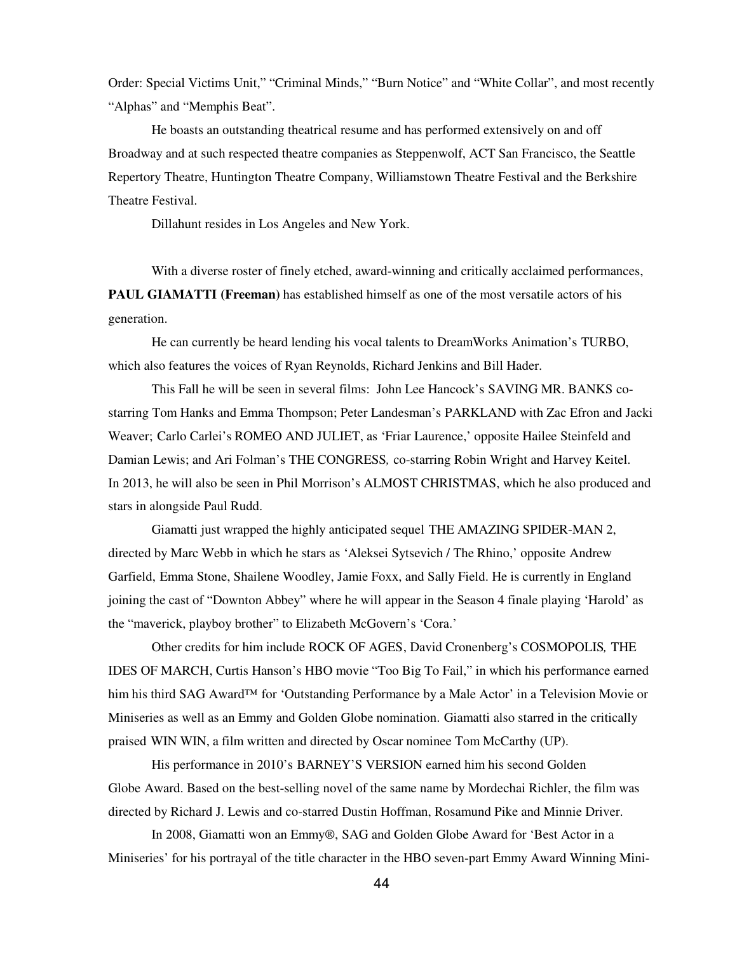Order: Special Victims Unit," "Criminal Minds," "Burn Notice" and "White Collar", and most recently "Alphas" and "Memphis Beat".

He boasts an outstanding theatrical resume and has performed extensively on and off Broadway and at such respected theatre companies as Steppenwolf, ACT San Francisco, the Seattle Repertory Theatre, Huntington Theatre Company, Williamstown Theatre Festival and the Berkshire Theatre Festival.

Dillahunt resides in Los Angeles and New York.

With a diverse roster of finely etched, award-winning and critically acclaimed performances, **PAUL GIAMATTI (Freeman)** has established himself as one of the most versatile actors of his generation.

He can currently be heard lending his vocal talents to DreamWorks Animation's TURBO, which also features the voices of Ryan Reynolds, Richard Jenkins and Bill Hader.

This Fall he will be seen in several films: John Lee Hancock's SAVING MR. BANKS costarring Tom Hanks and Emma Thompson; Peter Landesman's PARKLAND with Zac Efron and Jacki Weaver; Carlo Carlei's ROMEO AND JULIET, as 'Friar Laurence,' opposite Hailee Steinfeld and Damian Lewis; and Ari Folman's THE CONGRESS*,* co-starring Robin Wright and Harvey Keitel. In 2013, he will also be seen in Phil Morrison's ALMOST CHRISTMAS, which he also produced and stars in alongside Paul Rudd.

Giamatti just wrapped the highly anticipated sequel THE AMAZING SPIDER-MAN 2, directed by Marc Webb in which he stars as 'Aleksei Sytsevich / The Rhino,' opposite Andrew Garfield, Emma Stone, Shailene Woodley, Jamie Foxx, and Sally Field. He is currently in England joining the cast of "Downton Abbey" where he will appear in the Season 4 finale playing 'Harold' as the "maverick, playboy brother" to Elizabeth McGovern's 'Cora.'

Other credits for him include ROCK OF AGES, David Cronenberg's COSMOPOLIS*,* THE IDES OF MARCH, Curtis Hanson's HBO movie "Too Big To Fail," in which his performance earned him his third SAG Award™ for 'Outstanding Performance by a Male Actor' in a Television Movie or Miniseries as well as an Emmy and Golden Globe nomination. Giamatti also starred in the critically praised WIN WIN, a film written and directed by Oscar nominee Tom McCarthy (UP).

His performance in 2010's BARNEY'S VERSION earned him his second Golden Globe Award. Based on the best-selling novel of the same name by Mordechai Richler, the film was directed by Richard J. Lewis and co-starred Dustin Hoffman, Rosamund Pike and Minnie Driver.

In 2008, Giamatti won an Emmy®, SAG and Golden Globe Award for 'Best Actor in a Miniseries' for his portrayal of the title character in the HBO seven-part Emmy Award Winning Mini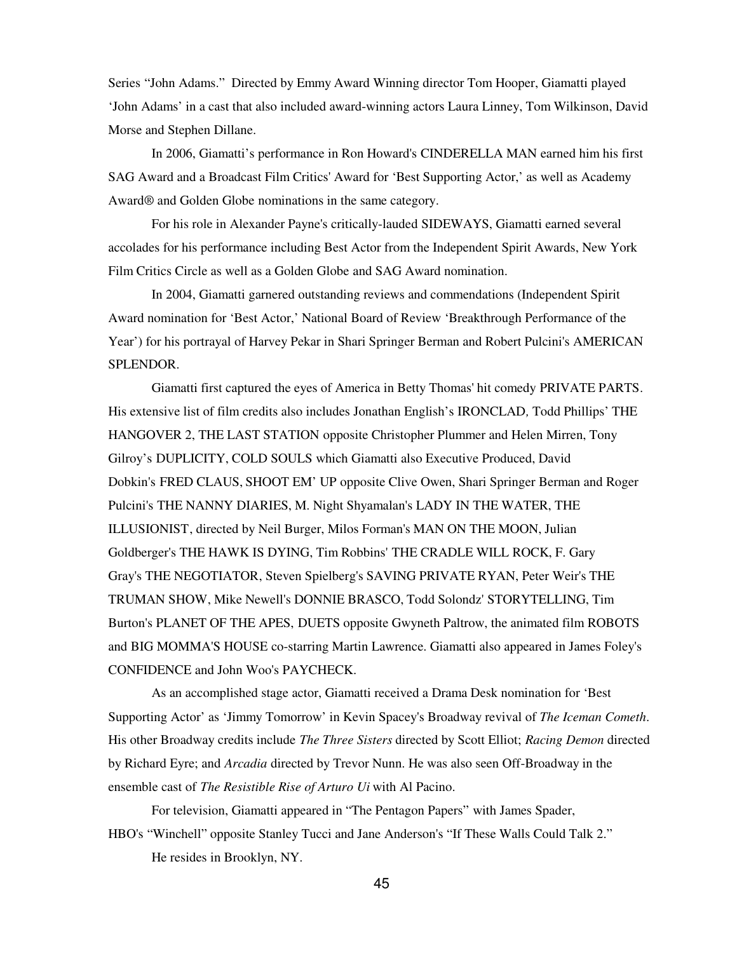Series "John Adams." Directed by Emmy Award Winning director Tom Hooper, Giamatti played 'John Adams' in a cast that also included award-winning actors Laura Linney, Tom Wilkinson, David Morse and Stephen Dillane.

In 2006, Giamatti's performance in Ron Howard's CINDERELLA MAN earned him his first SAG Award and a Broadcast Film Critics' Award for 'Best Supporting Actor,' as well as Academy Award® and Golden Globe nominations in the same category.

For his role in Alexander Payne's critically-lauded SIDEWAYS, Giamatti earned several accolades for his performance including Best Actor from the Independent Spirit Awards, New York Film Critics Circle as well as a Golden Globe and SAG Award nomination.

In 2004, Giamatti garnered outstanding reviews and commendations (Independent Spirit Award nomination for 'Best Actor,' National Board of Review 'Breakthrough Performance of the Year') for his portrayal of Harvey Pekar in Shari Springer Berman and Robert Pulcini's AMERICAN SPLENDOR*.*

Giamatti first captured the eyes of America in Betty Thomas' hit comedy PRIVATE PARTS. His extensive list of film credits also includes Jonathan English's IRONCLAD*,* Todd Phillips' THE HANGOVER 2, THE LAST STATION opposite Christopher Plummer and Helen Mirren, Tony Gilroy's DUPLICITY, COLD SOULS which Giamatti also Executive Produced, David Dobkin's FRED CLAUS, SHOOT EM' UP opposite Clive Owen, Shari Springer Berman and Roger Pulcini's THE NANNY DIARIES, M. Night Shyamalan's LADY IN THE WATER, THE ILLUSIONIST, directed by Neil Burger, Milos Forman's MAN ON THE MOON, Julian Goldberger's THE HAWK IS DYING, Tim Robbins' THE CRADLE WILL ROCK, F. Gary Gray's THE NEGOTIATOR, Steven Spielberg's SAVING PRIVATE RYAN, Peter Weir's THE TRUMAN SHOW, Mike Newell's DONNIE BRASCO, Todd Solondz' STORYTELLING, Tim Burton's PLANET OF THE APES, DUETS opposite Gwyneth Paltrow, the animated film ROBOTS and BIG MOMMA'S HOUSE co-starring Martin Lawrence. Giamatti also appeared in James Foley's CONFIDENCE and John Woo's PAYCHECK.

As an accomplished stage actor, Giamatti received a Drama Desk nomination for 'Best Supporting Actor' as 'Jimmy Tomorrow' in Kevin Spacey's Broadway revival of *The Iceman Cometh*. His other Broadway credits include *The Three Sisters* directed by Scott Elliot; *Racing Demon* directed by Richard Eyre; and *Arcadia* directed by Trevor Nunn. He was also seen Off-Broadway in the ensemble cast of *The Resistible Rise of Arturo Ui* with Al Pacino.

For television, Giamatti appeared in "The Pentagon Papers" with James Spader, HBO's "Winchell" opposite Stanley Tucci and Jane Anderson's "If These Walls Could Talk 2." He resides in Brooklyn, NY.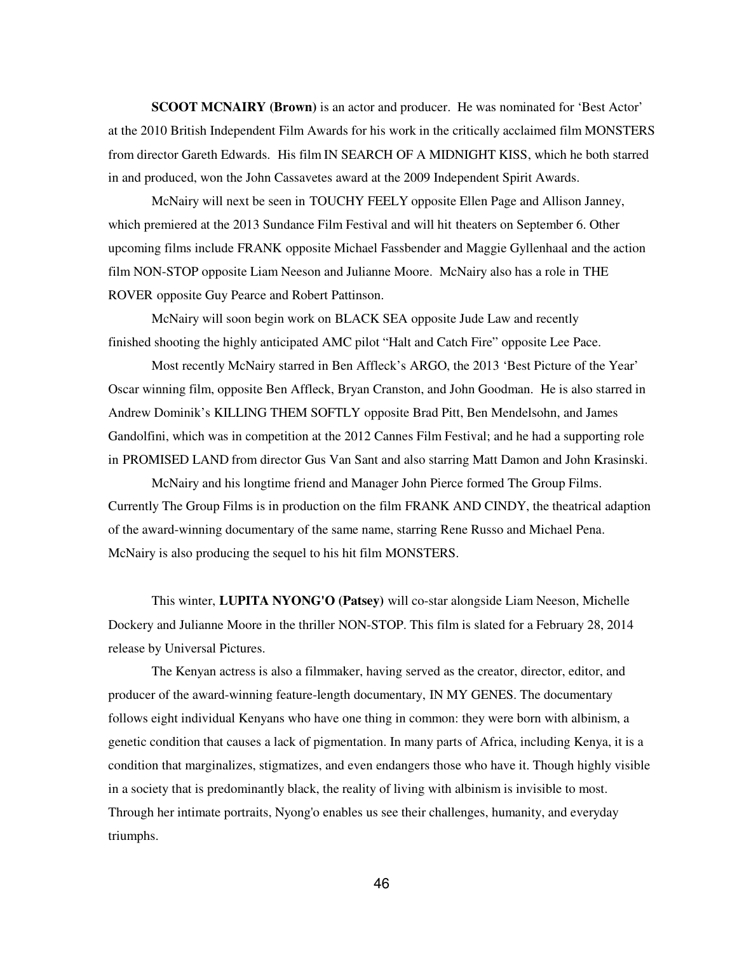**SCOOT MCNAIRY (Brown)** is an actor and producer. He was nominated for 'Best Actor' at the 2010 British Independent Film Awards for his work in the critically acclaimed film MONSTERS from director Gareth Edwards. His film IN SEARCH OF A MIDNIGHT KISS, which he both starred in and produced, won the John Cassavetes award at the 2009 Independent Spirit Awards.

McNairy will next be seen in TOUCHY FEELY opposite Ellen Page and Allison Janney, which premiered at the 2013 Sundance Film Festival and will hit theaters on September 6. Other upcoming films include FRANK opposite Michael Fassbender and Maggie Gyllenhaal and the action film NON-STOP opposite Liam Neeson and Julianne Moore. McNairy also has a role in THE ROVER opposite Guy Pearce and Robert Pattinson.

McNairy will soon begin work on BLACK SEA opposite Jude Law and recently finished shooting the highly anticipated AMC pilot "Halt and Catch Fire" opposite Lee Pace.

Most recently McNairy starred in Ben Affleck's ARGO, the 2013 'Best Picture of the Year' Oscar winning film, opposite Ben Affleck, Bryan Cranston, and John Goodman. He is also starred in Andrew Dominik's KILLING THEM SOFTLY opposite Brad Pitt, Ben Mendelsohn, and James Gandolfini, which was in competition at the 2012 Cannes Film Festival; and he had a supporting role in PROMISED LAND from director Gus Van Sant and also starring Matt Damon and John Krasinski.

McNairy and his longtime friend and Manager John Pierce formed The Group Films. Currently The Group Films is in production on the film FRANK AND CINDY, the theatrical adaption of the award-winning documentary of the same name, starring Rene Russo and Michael Pena. McNairy is also producing the sequel to his hit film MONSTERS.

This winter, **LUPITA NYONG'O (Patsey)** will co-star alongside Liam Neeson, Michelle Dockery and Julianne Moore in the thriller NON-STOP. This film is slated for a February 28, 2014 release by Universal Pictures.

The Kenyan actress is also a filmmaker, having served as the creator, director, editor, and producer of the award-winning feature-length documentary, IN MY GENES. The documentary follows eight individual Kenyans who have one thing in common: they were born with albinism, a genetic condition that causes a lack of pigmentation. In many parts of Africa, including Kenya, it is a condition that marginalizes, stigmatizes, and even endangers those who have it. Though highly visible in a society that is predominantly black, the reality of living with albinism is invisible to most. Through her intimate portraits, Nyong'o enables us see their challenges, humanity, and everyday triumphs.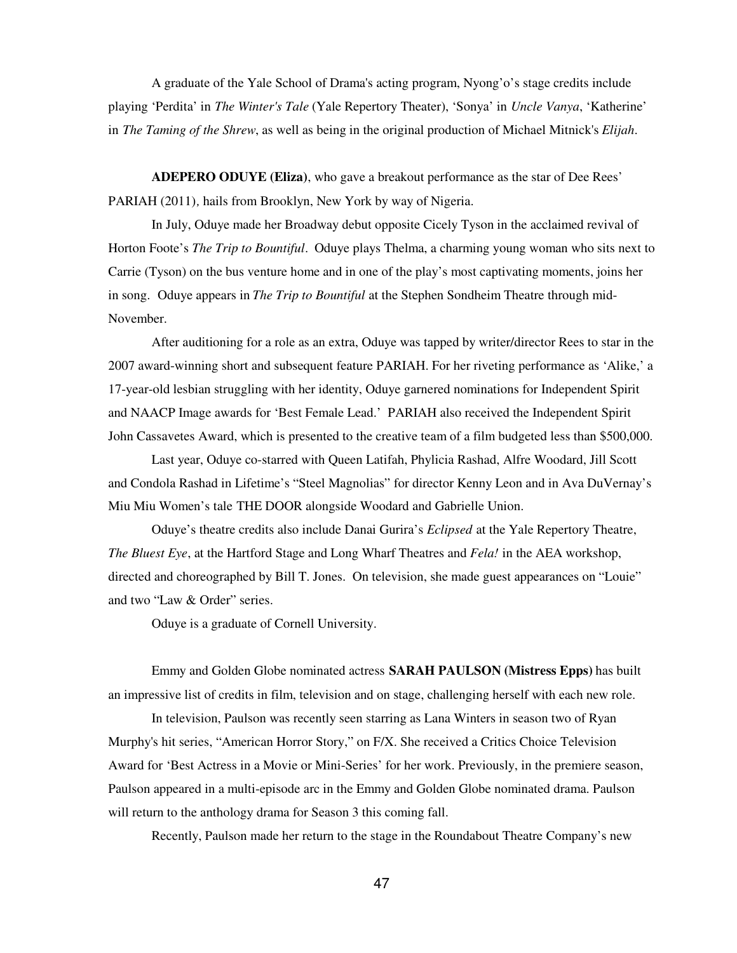A graduate of the Yale School of Drama's acting program, Nyong'o's stage credits include playing 'Perdita' in *The Winter's Tale* (Yale Repertory Theater), 'Sonya' in *Uncle Vanya*, 'Katherine' in *The Taming of the Shrew*, as well as being in the original production of Michael Mitnick's *Elijah*.

**ADEPERO ODUYE (Eliza)**, who gave a breakout performance as the star of Dee Rees' PARIAH (2011)*,* hails from Brooklyn, New York by way of Nigeria.

In July, Oduye made her Broadway debut opposite Cicely Tyson in the acclaimed revival of Horton Foote's *The Trip to Bountiful*. Oduye plays Thelma, a charming young woman who sits next to Carrie (Tyson) on the bus venture home and in one of the play's most captivating moments, joins her in song. Oduye appears in *The Trip to Bountiful* at the Stephen Sondheim Theatre through mid-November.

After auditioning for a role as an extra, Oduye was tapped by writer/director Rees to star in the 2007 award-winning short and subsequent feature PARIAH. For her riveting performance as 'Alike,' a 17-year-old lesbian struggling with her identity, Oduye garnered nominations for Independent Spirit and NAACP Image awards for 'Best Female Lead.' PARIAH also received the Independent Spirit John Cassavetes Award, which is presented to the creative team of a film budgeted less than \$500,000.

Last year, Oduye co-starred with Queen Latifah, Phylicia Rashad, Alfre Woodard, Jill Scott and Condola Rashad in Lifetime's "Steel Magnolias" for director Kenny Leon and in Ava DuVernay's Miu Miu Women's tale THE DOOR alongside Woodard and Gabrielle Union.

Oduye's theatre credits also include Danai Gurira's *Eclipsed* at the Yale Repertory Theatre, *The Bluest Eye*, at the Hartford Stage and Long Wharf Theatres and *Fela!* in the AEA workshop, directed and choreographed by Bill T. Jones. On television, she made guest appearances on "Louie" and two "Law & Order" series.

Oduye is a graduate of Cornell University.

Emmy and Golden Globe nominated actress **SARAH PAULSON (Mistress Epps)** has built an impressive list of credits in film, television and on stage, challenging herself with each new role.

In television, Paulson was recently seen starring as Lana Winters in season two of Ryan Murphy's hit series, "American Horror Story," on F/X. She received a Critics Choice Television Award for 'Best Actress in a Movie or Mini-Series' for her work. Previously, in the premiere season, Paulson appeared in a multi-episode arc in the Emmy and Golden Globe nominated drama. Paulson will return to the anthology drama for Season 3 this coming fall.

Recently, Paulson made her return to the stage in the Roundabout Theatre Company's new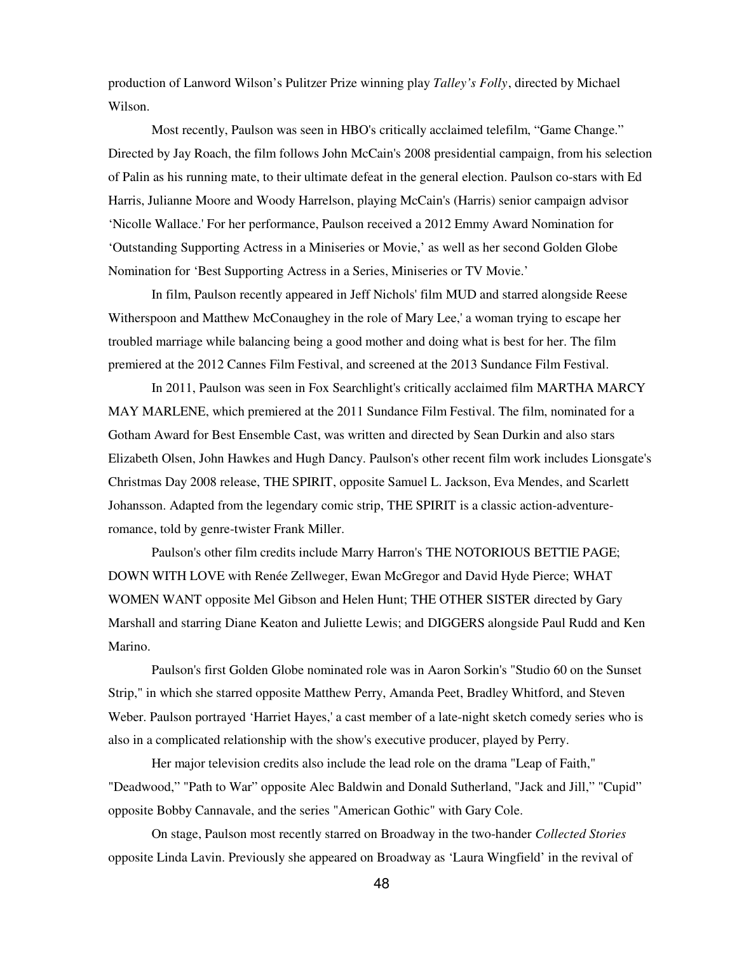production of Lanword Wilson's Pulitzer Prize winning play *Talley's Folly*, directed by Michael Wilson.

Most recently, Paulson was seen in HBO's critically acclaimed telefilm, "Game Change." Directed by Jay Roach, the film follows John McCain's 2008 presidential campaign, from his selection of Palin as his running mate, to their ultimate defeat in the general election. Paulson co-stars with Ed Harris, Julianne Moore and Woody Harrelson, playing McCain's (Harris) senior campaign advisor 'Nicolle Wallace.' For her performance, Paulson received a 2012 Emmy Award Nomination for 'Outstanding Supporting Actress in a Miniseries or Movie,' as well as her second Golden Globe Nomination for 'Best Supporting Actress in a Series, Miniseries or TV Movie.'

In film, Paulson recently appeared in Jeff Nichols' film MUD and starred alongside Reese Witherspoon and Matthew McConaughey in the role of Mary Lee,' a woman trying to escape her troubled marriage while balancing being a good mother and doing what is best for her. The film premiered at the 2012 Cannes Film Festival, and screened at the 2013 Sundance Film Festival.

In 2011, Paulson was seen in Fox Searchlight's critically acclaimed film MARTHA MARCY MAY MARLENE, which premiered at the 2011 Sundance Film Festival. The film, nominated for a Gotham Award for Best Ensemble Cast, was written and directed by Sean Durkin and also stars Elizabeth Olsen, John Hawkes and Hugh Dancy. Paulson's other recent film work includes Lionsgate's Christmas Day 2008 release, THE SPIRIT, opposite Samuel L. Jackson, Eva Mendes, and Scarlett Johansson. Adapted from the legendary comic strip, THE SPIRIT is a classic action-adventureromance, told by genre-twister Frank Miller.

Paulson's other film credits include Marry Harron's THE NOTORIOUS BETTIE PAGE; DOWN WITH LOVE with Renée Zellweger, Ewan McGregor and David Hyde Pierce; WHAT WOMEN WANT opposite Mel Gibson and Helen Hunt; THE OTHER SISTER directed by Gary Marshall and starring Diane Keaton and Juliette Lewis; and DIGGERS alongside Paul Rudd and Ken Marino.

Paulson's first Golden Globe nominated role was in Aaron Sorkin's "Studio 60 on the Sunset Strip," in which she starred opposite Matthew Perry, Amanda Peet, Bradley Whitford, and Steven Weber. Paulson portrayed 'Harriet Hayes,' a cast member of a late-night sketch comedy series who is also in a complicated relationship with the show's executive producer, played by Perry.

Her major television credits also include the lead role on the drama "Leap of Faith," "Deadwood," "Path to War" opposite Alec Baldwin and Donald Sutherland, "Jack and Jill," "Cupid" opposite Bobby Cannavale, and the series "American Gothic" with Gary Cole.

On stage, Paulson most recently starred on Broadway in the two-hander *Collected Stories* opposite Linda Lavin. Previously she appeared on Broadway as 'Laura Wingfield' in the revival of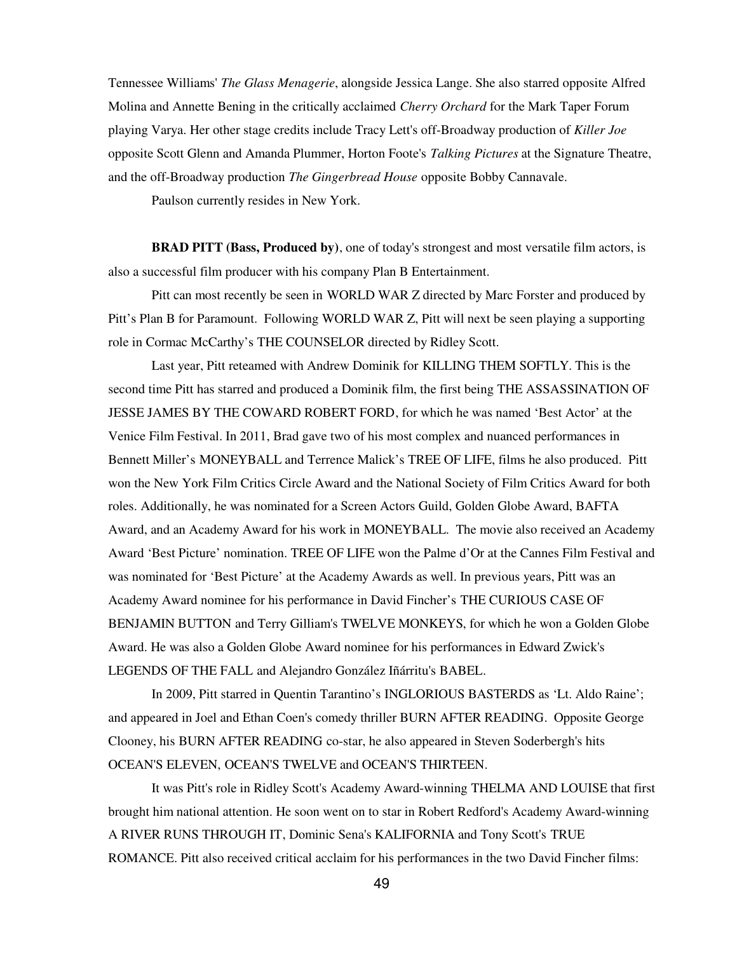Tennessee Williams' *The Glass Menagerie*, alongside Jessica Lange. She also starred opposite Alfred Molina and Annette Bening in the critically acclaimed *Cherry Orchard* for the Mark Taper Forum playing Varya. Her other stage credits include Tracy Lett's off-Broadway production of *Killer Joe* opposite Scott Glenn and Amanda Plummer, Horton Foote's *Talking Pictures* at the Signature Theatre, and the off-Broadway production *The Gingerbread House* opposite Bobby Cannavale.

Paulson currently resides in New York.

**BRAD PITT (Bass, Produced by)**, one of today's strongest and most versatile film actors, is also a successful film producer with his company Plan B Entertainment.

Pitt can most recently be seen in WORLD WAR Z directed by Marc Forster and produced by Pitt's Plan B for Paramount. Following WORLD WAR Z, Pitt will next be seen playing a supporting role in Cormac McCarthy's THE COUNSELOR directed by Ridley Scott.

Last year, Pitt reteamed with Andrew Dominik for KILLING THEM SOFTLY. This is the second time Pitt has starred and produced a Dominik film, the first being THE ASSASSINATION OF JESSE JAMES BY THE COWARD ROBERT FORD, for which he was named 'Best Actor' at the Venice Film Festival. In 2011, Brad gave two of his most complex and nuanced performances in Bennett Miller's MONEYBALL and Terrence Malick's TREE OF LIFE, films he also produced. Pitt won the New York Film Critics Circle Award and the National Society of Film Critics Award for both roles. Additionally, he was nominated for a Screen Actors Guild, Golden Globe Award, BAFTA Award, and an Academy Award for his work in MONEYBALL. The movie also received an Academy Award 'Best Picture' nomination. TREE OF LIFE won the Palme d'Or at the Cannes Film Festival and was nominated for 'Best Picture' at the Academy Awards as well. In previous years, Pitt was an Academy Award nominee for his performance in David Fincher's THE CURIOUS CASE OF BENJAMIN BUTTON and Terry Gilliam's TWELVE MONKEYS, for which he won a Golden Globe Award. He was also a Golden Globe Award nominee for his performances in Edward Zwick's LEGENDS OF THE FALL and Alejandro González Iñárritu's BABEL.

In 2009, Pitt starred in Quentin Tarantino's INGLORIOUS BASTERDS as 'Lt. Aldo Raine'; and appeared in Joel and Ethan Coen's comedy thriller BURN AFTER READING. Opposite George Clooney, his BURN AFTER READING co-star, he also appeared in Steven Soderbergh's hits OCEAN'S ELEVEN, OCEAN'S TWELVE and OCEAN'S THIRTEEN.

It was Pitt's role in Ridley Scott's Academy Award-winning THELMA AND LOUISE that first brought him national attention. He soon went on to star in Robert Redford's Academy Award-winning A RIVER RUNS THROUGH IT, Dominic Sena's KALIFORNIA and Tony Scott's TRUE ROMANCE. Pitt also received critical acclaim for his performances in the two David Fincher films: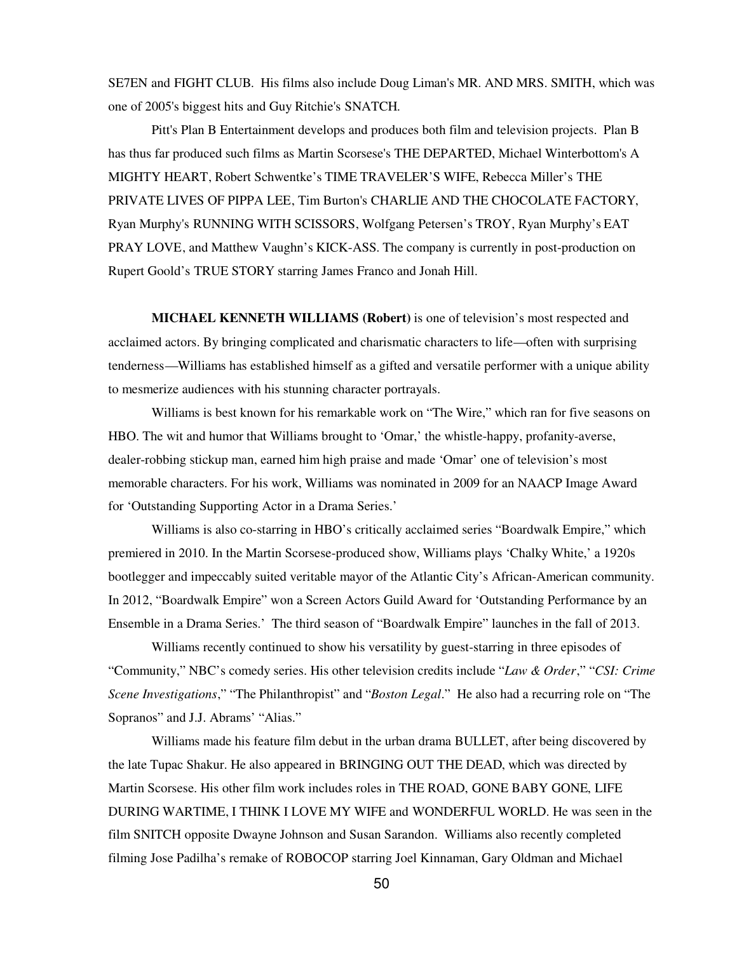SE7EN and FIGHT CLUB. His films also include Doug Liman's MR. AND MRS. SMITH, which was one of 2005's biggest hits and Guy Ritchie's SNATCH.

Pitt's Plan B Entertainment develops and produces both film and television projects. Plan B has thus far produced such films as Martin Scorsese's THE DEPARTED, Michael Winterbottom's A MIGHTY HEART, Robert Schwentke's TIME TRAVELER'S WIFE, Rebecca Miller's THE PRIVATE LIVES OF PIPPA LEE, Tim Burton's CHARLIE AND THE CHOCOLATE FACTORY, Ryan Murphy's RUNNING WITH SCISSORS, Wolfgang Petersen's TROY, Ryan Murphy's EAT PRAY LOVE, and Matthew Vaughn's KICK-ASS. The company is currently in post-production on Rupert Goold's TRUE STORY starring James Franco and Jonah Hill.

**MICHAEL KENNETH WILLIAMS (Robert)** is one of television's most respected and acclaimed actors. By bringing complicated and charismatic characters to life—often with surprising tenderness—Williams has established himself as a gifted and versatile performer with a unique ability to mesmerize audiences with his stunning character portrayals.

Williams is best known for his remarkable work on "The Wire," which ran for five seasons on HBO. The wit and humor that Williams brought to 'Omar,' the whistle-happy, profanity-averse, dealer-robbing stickup man, earned him high praise and made 'Omar' one of television's most memorable characters. For his work, Williams was nominated in 2009 for an NAACP Image Award for 'Outstanding Supporting Actor in a Drama Series.'

Williams is also co-starring in HBO's critically acclaimed series "Boardwalk Empire," which premiered in 2010. In the Martin Scorsese-produced show, Williams plays 'Chalky White,' a 1920s bootlegger and impeccably suited veritable mayor of the Atlantic City's African-American community. In 2012, "Boardwalk Empire" won a Screen Actors Guild Award for 'Outstanding Performance by an Ensemble in a Drama Series.' The third season of "Boardwalk Empire" launches in the fall of 2013.

Williams recently continued to show his versatility by guest-starring in three episodes of "Community," NBC's comedy series. His other television credits include "*Law & Order*," "*CSI: Crime Scene Investigations*," "The Philanthropist" and "*Boston Legal*." He also had a recurring role on "The Sopranos" and J.J. Abrams' "Alias."

Williams made his feature film debut in the urban drama BULLET, after being discovered by the late Tupac Shakur. He also appeared in BRINGING OUT THE DEAD, which was directed by Martin Scorsese. His other film work includes roles in THE ROAD, GONE BABY GONE, LIFE DURING WARTIME, I THINK I LOVE MY WIFE and WONDERFUL WORLD. He was seen in the film SNITCH opposite Dwayne Johnson and Susan Sarandon. Williams also recently completed filming Jose Padilha's remake of ROBOCOP starring Joel Kinnaman, Gary Oldman and Michael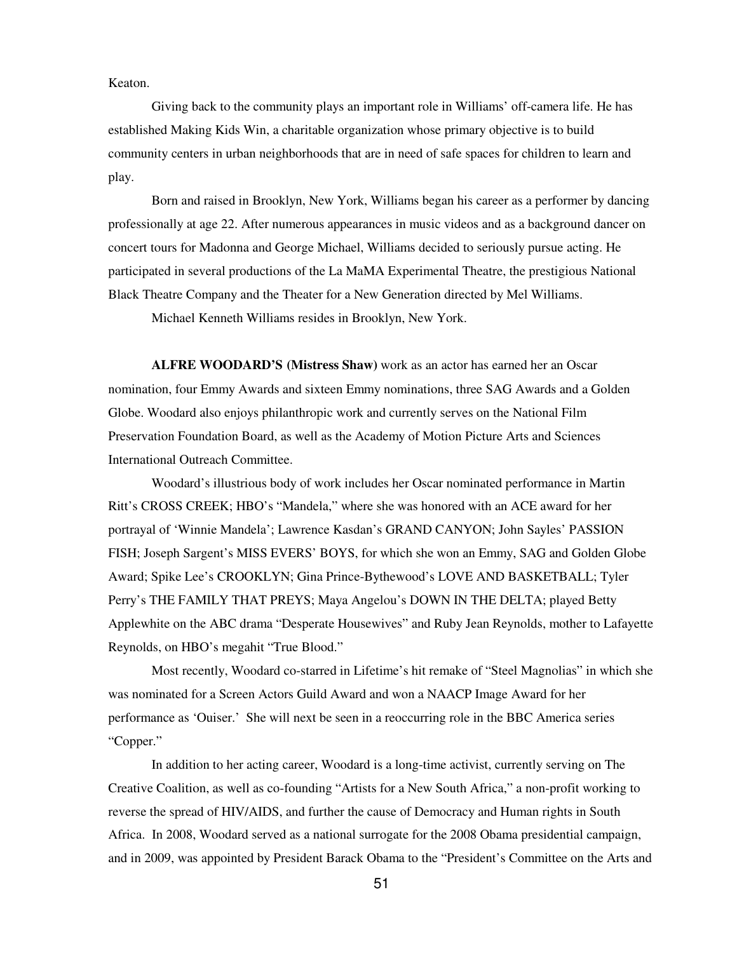Keaton.

Giving back to the community plays an important role in Williams' off-camera life. He has established Making Kids Win, a charitable organization whose primary objective is to build community centers in urban neighborhoods that are in need of safe spaces for children to learn and play.

Born and raised in Brooklyn, New York, Williams began his career as a performer by dancing professionally at age 22. After numerous appearances in music videos and as a background dancer on concert tours for Madonna and George Michael, Williams decided to seriously pursue acting. He participated in several productions of the La MaMA Experimental Theatre, the prestigious National Black Theatre Company and the Theater for a New Generation directed by Mel Williams.

Michael Kenneth Williams resides in Brooklyn, New York.

**ALFRE WOODARD'S (Mistress Shaw)** work as an actor has earned her an Oscar nomination, four Emmy Awards and sixteen Emmy nominations, three SAG Awards and a Golden Globe. Woodard also enjoys philanthropic work and currently serves on the National Film Preservation Foundation Board, as well as the Academy of Motion Picture Arts and Sciences International Outreach Committee.

Woodard's illustrious body of work includes her Oscar nominated performance in Martin Ritt's CROSS CREEK; HBO's "Mandela," where she was honored with an ACE award for her portrayal of 'Winnie Mandela'; Lawrence Kasdan's GRAND CANYON; John Sayles' PASSION FISH; Joseph Sargent's MISS EVERS' BOYS, for which she won an Emmy, SAG and Golden Globe Award; Spike Lee's CROOKLYN; Gina Prince-Bythewood's LOVE AND BASKETBALL; Tyler Perry's THE FAMILY THAT PREYS; Maya Angelou's DOWN IN THE DELTA; played Betty Applewhite on the ABC drama "Desperate Housewives" and Ruby Jean Reynolds, mother to Lafayette Reynolds, on HBO's megahit "True Blood."

Most recently, Woodard co-starred in Lifetime's hit remake of "Steel Magnolias" in which she was nominated for a Screen Actors Guild Award and won a NAACP Image Award for her performance as 'Ouiser.' She will next be seen in a reoccurring role in the BBC America series "Copper."

In addition to her acting career, Woodard is a long-time activist, currently serving on The Creative Coalition, as well as co-founding "Artists for a New South Africa," a non-profit working to reverse the spread of HIV/AIDS, and further the cause of Democracy and Human rights in South Africa. In 2008, Woodard served as a national surrogate for the 2008 Obama presidential campaign, and in 2009, was appointed by President Barack Obama to the "President's Committee on the Arts and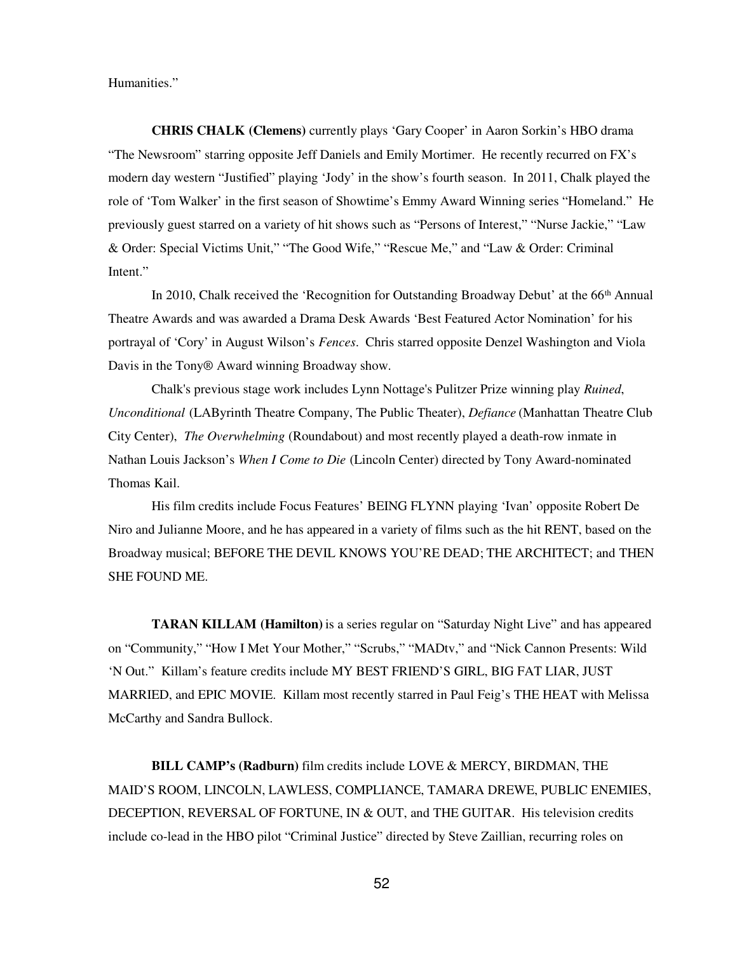Humanities."

**CHRIS CHALK (Clemens)** currently plays 'Gary Cooper' in Aaron Sorkin's HBO drama "The Newsroom" starring opposite Jeff Daniels and Emily Mortimer. He recently recurred on FX's modern day western "Justified" playing 'Jody' in the show's fourth season. In 2011, Chalk played the role of 'Tom Walker' in the first season of Showtime's Emmy Award Winning series "Homeland." He previously guest starred on a variety of hit shows such as "Persons of Interest," "Nurse Jackie," "Law & Order: Special Victims Unit," "The Good Wife," "Rescue Me," and "Law & Order: Criminal Intent."

In 2010, Chalk received the 'Recognition for Outstanding Broadway Debut' at the 66<sup>th</sup> Annual Theatre Awards and was awarded a Drama Desk Awards 'Best Featured Actor Nomination' for his portrayal of 'Cory' in August Wilson's *Fences*. Chris starred opposite Denzel Washington and Viola Davis in the Tony® Award winning Broadway show.

Chalk's previous stage work includes Lynn Nottage's Pulitzer Prize winning play *Ruined*, *Unconditional* (LAByrinth Theatre Company, The Public Theater), *Defiance* (Manhattan Theatre Club City Center), *The Overwhelming* (Roundabout) and most recently played a death-row inmate in Nathan Louis Jackson's *When I Come to Die* (Lincoln Center) directed by Tony Award-nominated Thomas Kail.

His film credits include Focus Features' BEING FLYNN playing 'Ivan' opposite Robert De Niro and Julianne Moore, and he has appeared in a variety of films such as the hit RENT, based on the Broadway musical; BEFORE THE DEVIL KNOWS YOU'RE DEAD; THE ARCHITECT; and THEN SHE FOUND ME.

**TARAN KILLAM (Hamilton)** is a series regular on "Saturday Night Live" and has appeared on "Community," "How I Met Your Mother," "Scrubs," "MADtv," and "Nick Cannon Presents: Wild 'N Out." Killam's feature credits include MY BEST FRIEND'S GIRL, BIG FAT LIAR, JUST MARRIED, and EPIC MOVIE. Killam most recently starred in Paul Feig's THE HEAT with Melissa McCarthy and Sandra Bullock.

**BILL CAMP's (Radburn)** film credits include LOVE & MERCY, BIRDMAN, THE MAID'S ROOM, LINCOLN, LAWLESS, COMPLIANCE, TAMARA DREWE, PUBLIC ENEMIES, DECEPTION, REVERSAL OF FORTUNE, IN & OUT, and THE GUITAR. His television credits include co-lead in the HBO pilot "Criminal Justice" directed by Steve Zaillian, recurring roles on